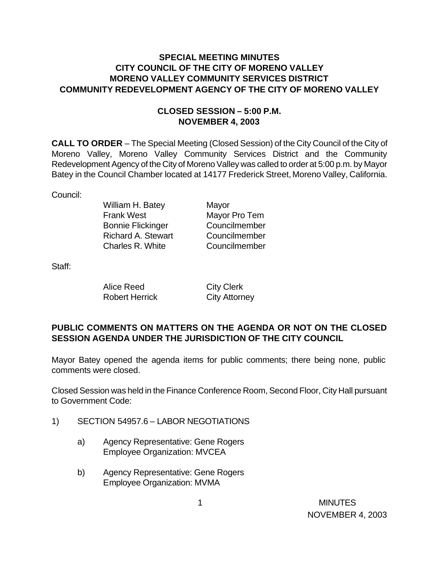## **SPECIAL MEETING MINUTES CITY COUNCIL OF THE CITY OF MORENO VALLEY MORENO VALLEY COMMUNITY SERVICES DISTRICT COMMUNITY REDEVELOPMENT AGENCY OF THE CITY OF MORENO VALLEY**

## **CLOSED SESSION – 5:00 P.M. NOVEMBER 4, 2003**

**CALL TO ORDER** – The Special Meeting (Closed Session) of the City Council of the City of Moreno Valley, Moreno Valley Community Services District and the Community Redevelopment Agency of the City of Moreno Valley was called to order at 5:00 p.m. by Mayor Batey in the Council Chamber located at 14177 Frederick Street, Moreno Valley, California.

Council:

William H. Batey Mayor Frank West Mayor Pro Tem Bonnie Flickinger Councilmember Richard A. Stewart Councilmember Charles R. White Councilmember

Staff:

| Alice Reed            | <b>City Clerk</b>    |
|-----------------------|----------------------|
| <b>Robert Herrick</b> | <b>City Attorney</b> |

## **PUBLIC COMMENTS ON MATTERS ON THE AGENDA OR NOT ON THE CLOSED SESSION AGENDA UNDER THE JURISDICTION OF THE CITY COUNCIL**

Mayor Batey opened the agenda items for public comments; there being none, public comments were closed.

Closed Session was held in the Finance Conference Room, Second Floor, City Hall pursuant to Government Code:

- 1) SECTION 54957.6 LABOR NEGOTIATIONS
	- a) Agency Representative: Gene Rogers Employee Organization: MVCEA
	- b) Agency Representative: Gene Rogers Employee Organization: MVMA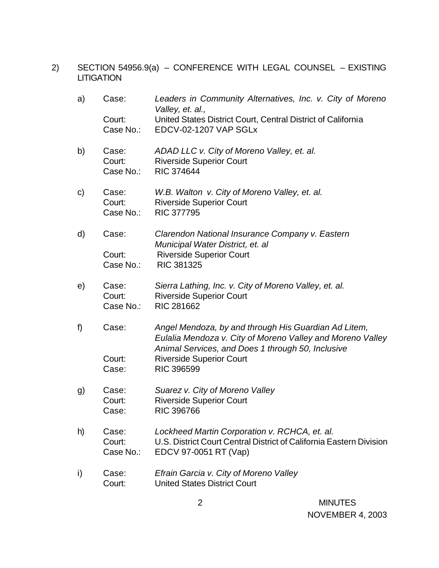2) SECTION 54956.9(a) – CONFERENCE WITH LEGAL COUNSEL – EXISTING **LITIGATION** 

| a)           | Case:<br>Court:<br>Case No.: | Leaders in Community Alternatives, Inc. v. City of Moreno<br>Valley, et. al.,<br>United States District Court, Central District of California<br>EDCV-02-1207 VAP SGLx  |
|--------------|------------------------------|-------------------------------------------------------------------------------------------------------------------------------------------------------------------------|
| b)           | Case:<br>Court:<br>Case No.: | ADAD LLC v. City of Moreno Valley, et. al.<br><b>Riverside Superior Court</b><br><b>RIC 374644</b>                                                                      |
| $\mathsf{C}$ | Case:<br>Court:<br>Case No.: | W.B. Walton v. City of Moreno Valley, et. al.<br><b>Riverside Superior Court</b><br><b>RIC 377795</b>                                                                   |
| d)           | Case:                        | Clarendon National Insurance Company v. Eastern<br>Municipal Water District, et. al                                                                                     |
|              | Court:<br>Case No.:          | <b>Riverside Superior Court</b><br>RIC 381325                                                                                                                           |
| e)           | Case:<br>Court:<br>Case No.: | Sierra Lathing, Inc. v. City of Moreno Valley, et. al.<br><b>Riverside Superior Court</b><br>RIC 281662                                                                 |
| f)           | Case:                        | Angel Mendoza, by and through His Guardian Ad Litem,<br>Eulalia Mendoza v. City of Moreno Valley and Moreno Valley<br>Animal Services, and Does 1 through 50, Inclusive |
|              | Court:<br>Case:              | <b>Riverside Superior Court</b><br><b>RIC 396599</b>                                                                                                                    |
| g)           | Case:<br>Court:<br>Case:     | Suarez v. City of Moreno Valley<br><b>Riverside Superior Court</b><br><b>RIC 396766</b>                                                                                 |
| h)           | Case:<br>Court:<br>Case No.: | Lockheed Martin Corporation v. RCHCA, et. al.<br>U.S. District Court Central District of California Eastern Division<br>EDCV 97-0051 RT (Vap)                           |
| i)           | Case:<br>Court:              | Efrain Garcia v. City of Moreno Valley<br><b>United States District Court</b>                                                                                           |